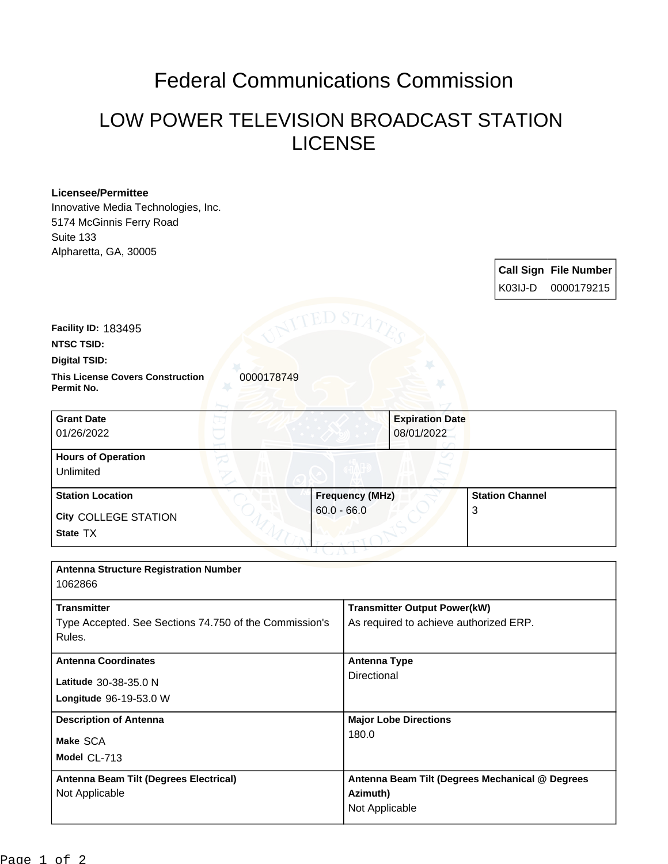## Federal Communications Commission

## LOW POWER TELEVISION BROADCAST STATION LICENSE

## **Licensee/Permittee** Innovative Media Technologies, Inc. 5174 McGinnis Ferry Road Suite 133 Alpharetta, GA, 30005 **Call Sign File Number** K03IJ-D 0000179215 **This License Covers Construction**  0000178749 **Permit No. Digital TSID: NTSC TSID: Facility ID:** 183495 **Longitude** 96-19-53.0 W **Latitude** 30-38-35.0 N **State** TX **City** COLLEGE STATION **Grant Date** 01/26/2022 **Expiration Date** 08/01/2022 **Hours of Operation** Unlimited **Station Location Figure 1.1 <b>Frequency (MHz)** 60.0 - 66.0 **Station Channel** 3 **Antenna Structure Registration Number** 1062866 **Transmitter** Type Accepted. See Sections 74.750 of the Commission's Rules. **Transmitter Output Power(kW)** As required to achieve authorized ERP. **Antenna Coordinates Antenna Type Directional**

180.0

**Azimuth)** Not Applicable

**Antenna Beam Tilt (Degrees Mechanical @ Degrees** 

**Description of Antenna Major Lobe Directions** 

**Model** CL-713 **Make** SCA

Not Applicable

**Antenna Beam Tilt (Degrees Electrical)**